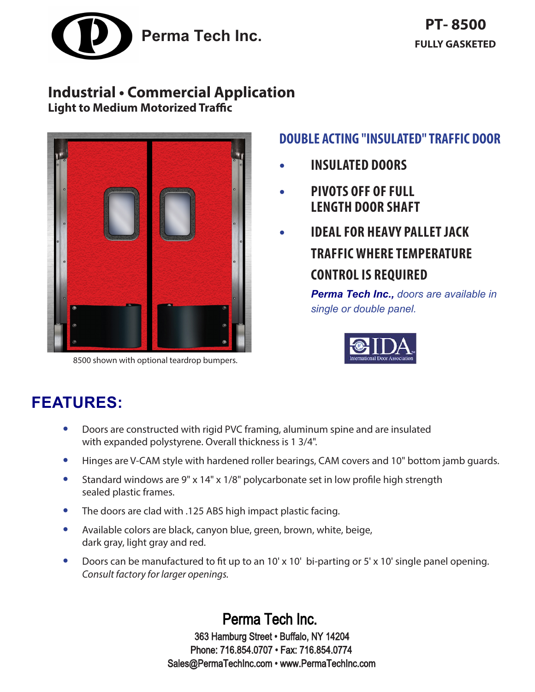

## **Industrial • Commercial Application**

**Light to Medium Motorized Traffic**



8500 shown with optional teardrop bumpers.

## **DOUBLE ACTING "INSULATED" TRAFFIC DOOR**

- **• INSULATED DOORS**
- **• PIVOTS OFF OF FULL LENGTH DOOR SHAFT**
- **• IDEAL FOR HEAVY PALLET JACK TRAFFIC WHERE TEMPERATURE CONTROL IS REQUIRED**

*Perma Tech Inc., doors are available in single or double panel.*



# **FEATURES:**

- **•** Doors are constructed with rigid PVC framing, aluminum spine and are insulated with expanded polystyrene. Overall thickness is 1 3/4".
- **•** Hinges are V-CAM style with hardened roller bearings, CAM covers and 10" bottom jamb guards.
- **•** Standard windows are 9" x 14" x 1/8" polycarbonate set in low profile high strength sealed plastic frames.
- **•** The doors are clad with .125 ABS high impact plastic facing.
- **•** Available colors are black, canyon blue, green, brown, white, beige, dark gray, light gray and red.
- **•** Doors can be manufactured to fit up to an 10' x 10' bi-parting or 5' x 10' single panel opening. *Consult factory for larger openings.*

Perma Tech Inc. 363 Hamburg Street • Buffalo, NY 14204 Phone: 716.854.0707 • Fax: 716.854.0774 Sales@PermaTechInc.com • www.PermaTechInc.com